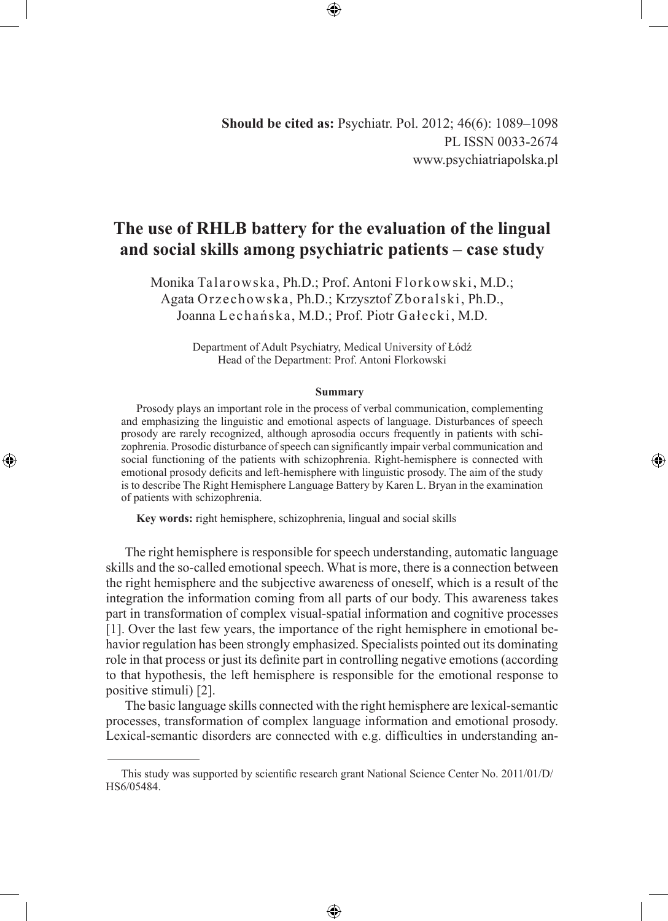⊕

**Should be cited as:** Psychiatr. Pol. 2012; 46(6): 1089–1098 PL ISSN 0033-2674 www.psychiatriapolska.pl

# **The use of RHLB battery for the evaluation of the lingual and social skills among psychiatric patients – case study**

Monika Talarowska, Ph.D.; Prof. Antoni Florkowski, M.D.; Agata Orzechowska, Ph.D.; Krzysztof Zboralski, Ph.D., Joanna Lechańska, M.D.; Prof. Piotr Gałecki, M.D.

> Department of Adult Psychiatry, Medical University of Łódź Head of the Department: Prof. Antoni Florkowski

## **Summary**

Prosody plays an important role in the process of verbal communication, complementing and emphasizing the linguistic and emotional aspects of language. Disturbances of speech prosody are rarely recognized, although aprosodia occurs frequently in patients with schizophrenia. Prosodic disturbance of speech can significantly impair verbal communication and social functioning of the patients with schizophrenia. Right-hemisphere is connected with emotional prosody deficits and left-hemisphere with linguistic prosody. The aim of the study is to describe The Right Hemisphere Language Battery by Karen L. Bryan in the examination of patients with schizophrenia.

◈

**Key words:** right hemisphere, schizophrenia, lingual and social skills

◈

The right hemisphere is responsible for speech understanding, automatic language skills and the so-called emotional speech. What is more, there is a connection between the right hemisphere and the subjective awareness of oneself, which is a result of the integration the information coming from all parts of our body. This awareness takes part in transformation of complex visual-spatial information and cognitive processes [1]. Over the last few years, the importance of the right hemisphere in emotional behavior regulation has been strongly emphasized. Specialists pointed out its dominating role in that process or just its definite part in controlling negative emotions (according to that hypothesis, the left hemisphere is responsible for the emotional response to positive stimuli) [2].

The basic language skills connected with the right hemisphere are lexical-semantic processes, transformation of complex language information and emotional prosody. Lexical-semantic disorders are connected with e.g. difficulties in understanding an-

⊕

This study was supported by scientific research grant National Science Center No. 2011/01/D/ HS6/05484.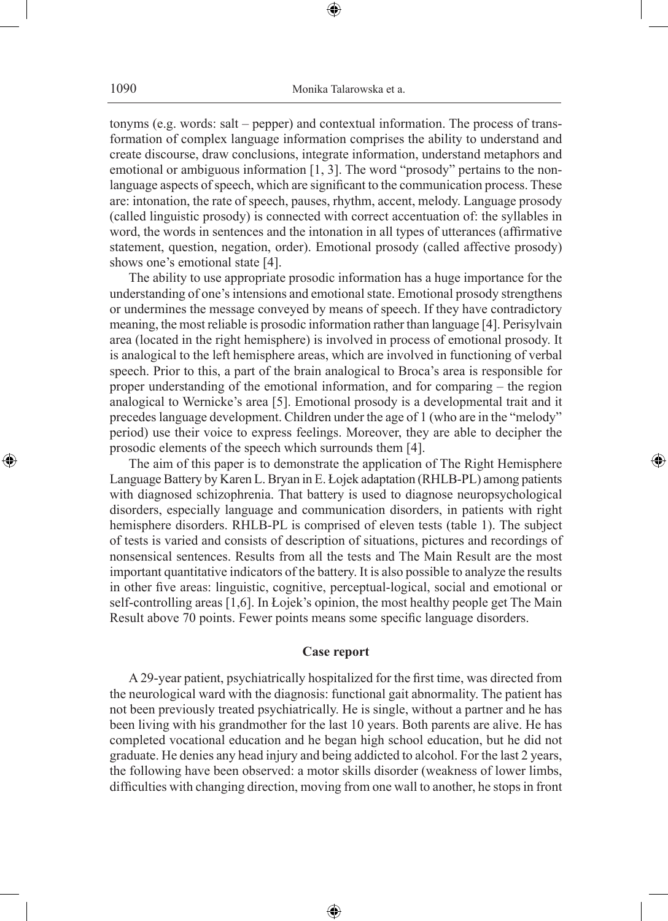⊕

tonyms (e.g. words: salt – pepper) and contextual information. The process of transformation of complex language information comprises the ability to understand and create discourse, draw conclusions, integrate information, understand metaphors and emotional or ambiguous information [1, 3]. The word "prosody" pertains to the nonlanguage aspects of speech, which are significant to the communication process. These are: intonation, the rate of speech, pauses, rhythm, accent, melody. Language prosody (called linguistic prosody) is connected with correct accentuation of: the syllables in word, the words in sentences and the intonation in all types of utterances (affirmative statement, question, negation, order). Emotional prosody (called affective prosody) shows one's emotional state [4].

The ability to use appropriate prosodic information has a huge importance for the understanding of one's intensions and emotional state. Emotional prosody strengthens or undermines the message conveyed by means of speech. If they have contradictory meaning, the most reliable is prosodic information rather than language [4]. Perisylvain area (located in the right hemisphere) is involved in process of emotional prosody. It is analogical to the left hemisphere areas, which are involved in functioning of verbal speech. Prior to this, a part of the brain analogical to Broca's area is responsible for proper understanding of the emotional information, and for comparing – the region analogical to Wernicke's area [5]. Emotional prosody is a developmental trait and it precedes language development. Children under the age of 1 (who are in the "melody" period) use their voice to express feelings. Moreover, they are able to decipher the prosodic elements of the speech which surrounds them [4].

The aim of this paper is to demonstrate the application of The Right Hemisphere Language Battery by Karen L. Bryan in E. Łojek adaptation (RHLB-PL) among patients with diagnosed schizophrenia. That battery is used to diagnose neuropsychological disorders, especially language and communication disorders, in patients with right hemisphere disorders. RHLB-PL is comprised of eleven tests (table 1). The subject of tests is varied and consists of description of situations, pictures and recordings of nonsensical sentences. Results from all the tests and The Main Result are the most important quantitative indicators of the battery. It is also possible to analyze the results in other five areas: linguistic, cognitive, perceptual-logical, social and emotional or self-controlling areas [1,6]. In Łojek's opinion, the most healthy people get The Main Result above 70 points. Fewer points means some specific language disorders.

◈

# **Case report**

A 29-year patient, psychiatrically hospitalized for the first time, was directed from the neurological ward with the diagnosis: functional gait abnormality. The patient has not been previously treated psychiatrically. He is single, without a partner and he has been living with his grandmother for the last 10 years. Both parents are alive. He has completed vocational education and he began high school education, but he did not graduate. He denies any head injury and being addicted to alcohol. For the last 2 years, the following have been observed: a motor skills disorder (weakness of lower limbs, difficulties with changing direction, moving from one wall to another, he stops in front

⊕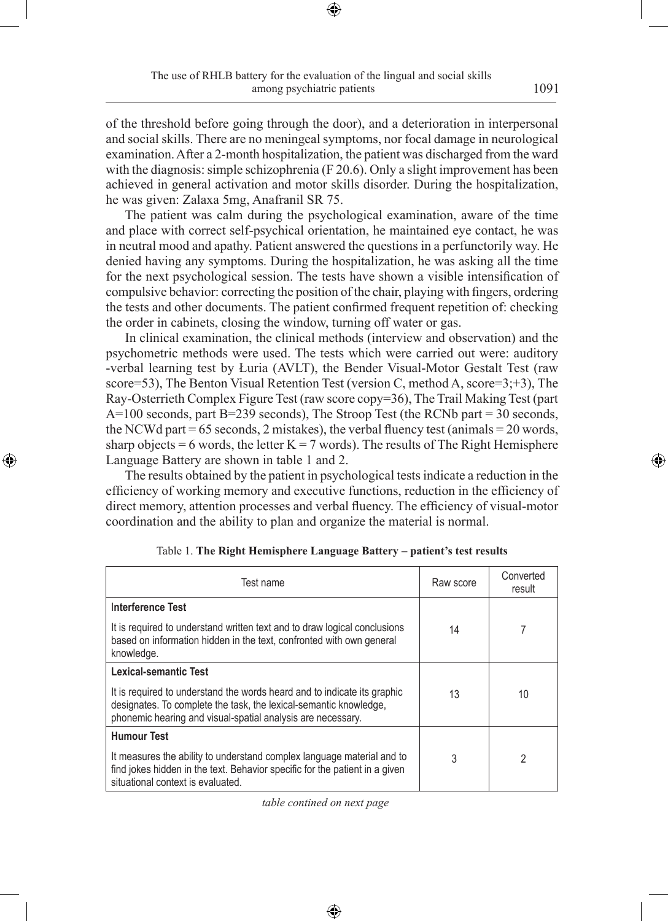of the threshold before going through the door), and a deterioration in interpersonal and social skills. There are no meningeal symptoms, nor focal damage in neurological examination. After a 2-month hospitalization, the patient was discharged from the ward with the diagnosis: simple schizophrenia (F 20.6). Only a slight improvement has been achieved in general activation and motor skills disorder. During the hospitalization, he was given: Zalaxa 5mg, Anafranil SR 75.

The patient was calm during the psychological examination, aware of the time and place with correct self-psychical orientation, he maintained eye contact, he was in neutral mood and apathy. Patient answered the questions in a perfunctorily way. He denied having any symptoms. During the hospitalization, he was asking all the time for the next psychological session. The tests have shown a visible intensification of compulsive behavior: correcting the position of the chair, playing with fingers, ordering the tests and other documents. The patient confirmed frequent repetition of: checking the order in cabinets, closing the window, turning off water or gas.

In clinical examination, the clinical methods (interview and observation) and the psychometric methods were used. The tests which were carried out were: auditory -verbal learning test by Łuria (AVLT), the Bender Visual-Motor Gestalt Test (raw score=53), The Benton Visual Retention Test (version C, method A, score=3;+3), The Ray-Osterrieth Complex Figure Test (raw score copy=36), The Trail Making Test (part A=100 seconds, part B=239 seconds), The Stroop Test (the RCNb part = 30 seconds, the NCWd part =  $65$  seconds, 2 mistakes), the verbal fluency test (animals =  $20$  words, sharp objects = 6 words, the letter  $K = 7$  words). The results of The Right Hemisphere Language Battery are shown in table 1 and 2.

The results obtained by the patient in psychological tests indicate a reduction in the efficiency of working memory and executive functions, reduction in the efficiency of direct memory, attention processes and verbal fluency. The efficiency of visual-motor coordination and the ability to plan and organize the material is normal.

◈

| Test name                                                                                                                                                                                                                             | Raw score | Converted<br>result |
|---------------------------------------------------------------------------------------------------------------------------------------------------------------------------------------------------------------------------------------|-----------|---------------------|
| Interference Test<br>It is required to understand written text and to draw logical conclusions<br>based on information hidden in the text, confronted with own general<br>knowledge.                                                  | 14        |                     |
| Lexical-semantic Test<br>It is required to understand the words heard and to indicate its graphic<br>designates. To complete the task, the lexical-semantic knowledge,<br>phonemic hearing and visual-spatial analysis are necessary. | 13        | 10                  |
| <b>Humour Test</b><br>It measures the ability to understand complex language material and to<br>find jokes hidden in the text. Behavior specific for the patient in a given<br>situational context is evaluated.                      | 3         | 2                   |

Table 1. **The Right Hemisphere Language Battery – patient's test results**

*table contined on next page*

♠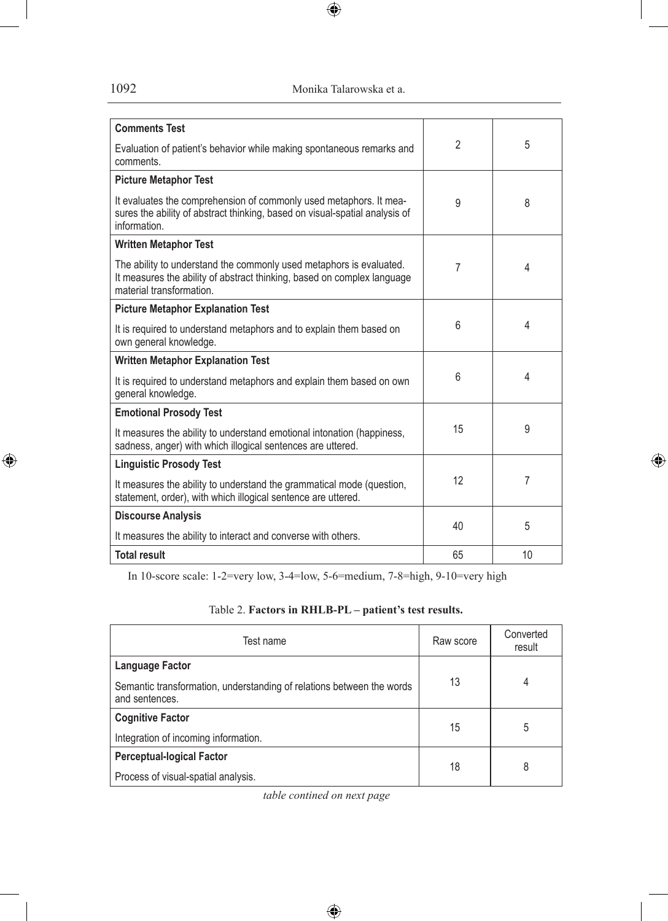1092 Monika Talarowska et a.

 $\bigoplus$ 

| <b>Comments Test</b>                                                                                                                                                       |                |    |
|----------------------------------------------------------------------------------------------------------------------------------------------------------------------------|----------------|----|
| Evaluation of patient's behavior while making spontaneous remarks and<br>comments.                                                                                         | $\mathfrak{p}$ | 5  |
| <b>Picture Metaphor Test</b>                                                                                                                                               |                |    |
| It evaluates the comprehension of commonly used metaphors. It mea-<br>sures the ability of abstract thinking, based on visual-spatial analysis of<br>information.          | 9              | 8  |
| <b>Written Metaphor Test</b>                                                                                                                                               |                |    |
| The ability to understand the commonly used metaphors is evaluated.<br>It measures the ability of abstract thinking, based on complex language<br>material transformation. | 7              | 4  |
| <b>Picture Metaphor Explanation Test</b>                                                                                                                                   |                |    |
| It is required to understand metaphors and to explain them based on<br>own general knowledge.                                                                              | 6              | 4  |
| <b>Written Metaphor Explanation Test</b>                                                                                                                                   |                |    |
| It is required to understand metaphors and explain them based on own<br>general knowledge.                                                                                 | 6              | 4  |
| <b>Emotional Prosody Test</b>                                                                                                                                              |                |    |
| It measures the ability to understand emotional intonation (happiness,<br>sadness, anger) with which illogical sentences are uttered.                                      | 15             | 9  |
| <b>Linguistic Prosody Test</b>                                                                                                                                             |                |    |
| It measures the ability to understand the grammatical mode (question,<br>statement, order), with which illogical sentence are uttered.                                     | 12             | 7  |
| <b>Discourse Analysis</b>                                                                                                                                                  | 40             | 5  |
| It measures the ability to interact and converse with others.                                                                                                              |                |    |
| <b>Total result</b>                                                                                                                                                        | 65             | 10 |

 $\bigoplus$ 

In 10-score scale: 1-2=very low, 3-4=low, 5-6=medium, 7-8=high, 9-10=very high

| Table 2. Factors in RHLB-PL – patient's test results. |  |
|-------------------------------------------------------|--|
|-------------------------------------------------------|--|

| Test name                                                                               | Raw score | Converted<br>result |
|-----------------------------------------------------------------------------------------|-----------|---------------------|
| Language Factor                                                                         |           |                     |
| Semantic transformation, understanding of relations between the words<br>and sentences. | 13        | 4                   |
| <b>Cognitive Factor</b>                                                                 | 15        | 5                   |
| Integration of incoming information.                                                    |           |                     |
| <b>Perceptual-logical Factor</b>                                                        | 18        | 8                   |
| Process of visual-spatial analysis.                                                     |           |                     |

*table contined on next page*

 $\bigoplus$ 

 $\bigoplus$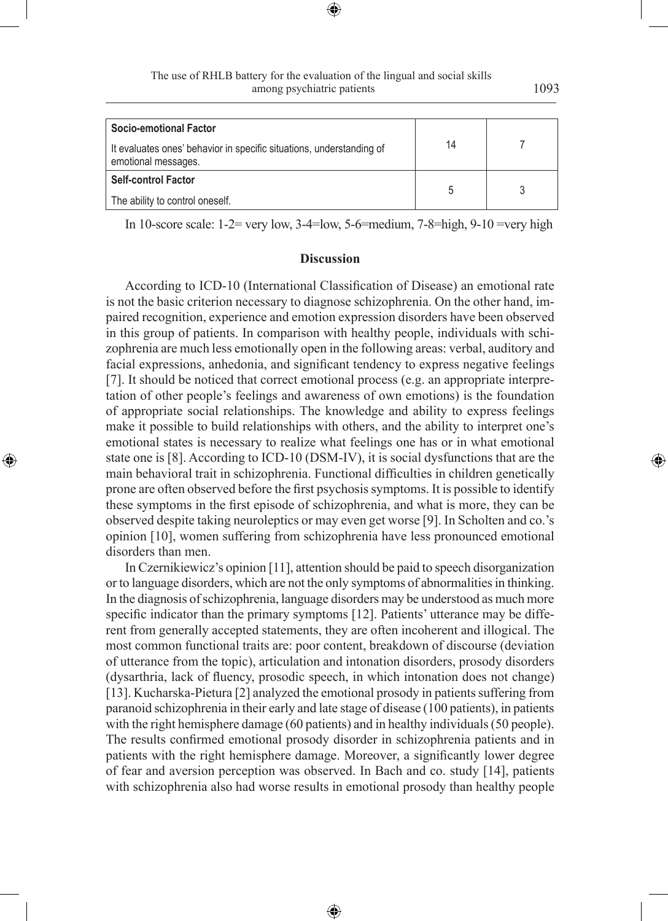⊕

◈

| Socio-emotional Factor                                                                      |    |  |
|---------------------------------------------------------------------------------------------|----|--|
| It evaluates ones' behavior in specific situations, understanding of<br>emotional messages. | 14 |  |
| <b>Self-control Factor</b>                                                                  |    |  |
| The ability to control oneself.                                                             |    |  |

In 10-score scale:  $1-2$ = very low,  $3-4$ =low,  $5-6$ =medium,  $7-8$ =high,  $9-10$  =very high

## **Discussion**

According to ICD-10 (International Classification of Disease) an emotional rate is not the basic criterion necessary to diagnose schizophrenia. On the other hand, impaired recognition, experience and emotion expression disorders have been observed in this group of patients. In comparison with healthy people, individuals with schizophrenia are much less emotionally open in the following areas: verbal, auditory and facial expressions, anhedonia, and significant tendency to express negative feelings [7]. It should be noticed that correct emotional process (e.g. an appropriate interpretation of other people's feelings and awareness of own emotions) is the foundation of appropriate social relationships. The knowledge and ability to express feelings make it possible to build relationships with others, and the ability to interpret one's emotional states is necessary to realize what feelings one has or in what emotional state one is [8]. According to ICD-10 (DSM-IV), it is social dysfunctions that are the main behavioral trait in schizophrenia. Functional difficulties in children genetically prone are often observed before the first psychosis symptoms. It is possible to identify these symptoms in the first episode of schizophrenia, and what is more, they can be observed despite taking neuroleptics or may even get worse [9]. In Scholten and co.'s opinion [10], women suffering from schizophrenia have less pronounced emotional disorders than men.

◈

In Czernikiewicz's opinion [11], attention should be paid to speech disorganization or to language disorders, which are not the only symptoms of abnormalities in thinking. In the diagnosis of schizophrenia, language disorders may be understood as much more specific indicator than the primary symptoms [12]. Patients' utterance may be different from generally accepted statements, they are often incoherent and illogical. The most common functional traits are: poor content, breakdown of discourse (deviation of utterance from the topic), articulation and intonation disorders, prosody disorders (dysarthria, lack of fluency, prosodic speech, in which intonation does not change) [13]. Kucharska-Pietura [2] analyzed the emotional prosody in patients suffering from paranoid schizophrenia in their early and late stage of disease (100 patients), in patients with the right hemisphere damage (60 patients) and in healthy individuals (50 people). The results confirmed emotional prosody disorder in schizophrenia patients and in patients with the right hemisphere damage. Moreover, a significantly lower degree of fear and aversion perception was observed. In Bach and co. study [14], patients with schizophrenia also had worse results in emotional prosody than healthy people

⊕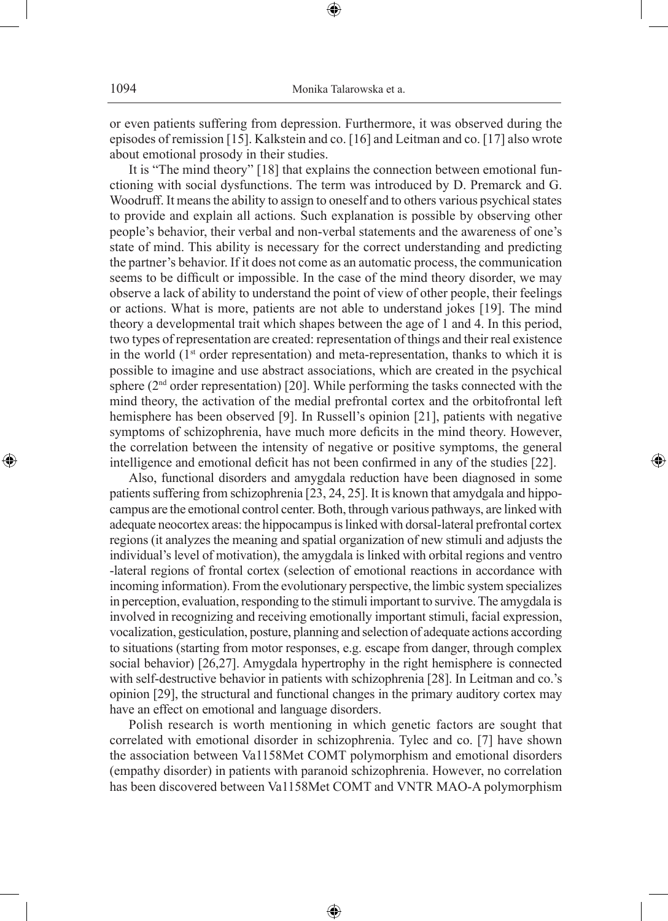or even patients suffering from depression. Furthermore, it was observed during the episodes of remission [15]. Kalkstein and co. [16] and Leitman and co. [17] also wrote about emotional prosody in their studies.

⊕

It is "The mind theory" [18] that explains the connection between emotional functioning with social dysfunctions. The term was introduced by D. Premarck and G. Woodruff. It means the ability to assign to oneself and to others various psychical states to provide and explain all actions. Such explanation is possible by observing other people's behavior, their verbal and non-verbal statements and the awareness of one's state of mind. This ability is necessary for the correct understanding and predicting the partner's behavior. If it does not come as an automatic process, the communication seems to be difficult or impossible. In the case of the mind theory disorder, we may observe a lack of ability to understand the point of view of other people, their feelings or actions. What is more, patients are not able to understand jokes [19]. The mind theory a developmental trait which shapes between the age of 1 and 4. In this period, two types of representation are created: representation of things and their real existence in the world  $(1<sup>st</sup> order representation)$  and meta-representation, thanks to which it is possible to imagine and use abstract associations, which are created in the psychical sphere  $(2<sup>nd</sup> order representation)$  [20]. While performing the tasks connected with the mind theory, the activation of the medial prefrontal cortex and the orbitofrontal left hemisphere has been observed [9]. In Russell's opinion [21], patients with negative symptoms of schizophrenia, have much more deficits in the mind theory. However, the correlation between the intensity of negative or positive symptoms, the general intelligence and emotional deficit has not been confirmed in any of the studies [22].

Also, functional disorders and amygdala reduction have been diagnosed in some patients suffering from schizophrenia [23, 24, 25]. It is known that amydgala and hippocampus are the emotional control center. Both, through various pathways, are linked with adequate neocortex areas: the hippocampus is linked with dorsal-lateral prefrontal cortex regions (it analyzes the meaning and spatial organization of new stimuli and adjusts the individual's level of motivation), the amygdala is linked with orbital regions and ventro -lateral regions of frontal cortex (selection of emotional reactions in accordance with incoming information). From the evolutionary perspective, the limbic system specializes in perception, evaluation, responding to the stimuli important to survive. The amygdala is involved in recognizing and receiving emotionally important stimuli, facial expression, vocalization, gesticulation, posture, planning and selection of adequate actions according to situations (starting from motor responses, e.g. escape from danger, through complex social behavior) [26,27]. Amygdala hypertrophy in the right hemisphere is connected with self-destructive behavior in patients with schizophrenia [28]. In Leitman and co.'s opinion [29], the structural and functional changes in the primary auditory cortex may have an effect on emotional and language disorders.

◈

Polish research is worth mentioning in which genetic factors are sought that correlated with emotional disorder in schizophrenia. Tylec and co. [7] have shown the association between Va1158Met COMT polymorphism and emotional disorders (empathy disorder) in patients with paranoid schizophrenia. However, no correlation has been discovered between Va1158Met COMT and VNTR MAO-A polymorphism

⊕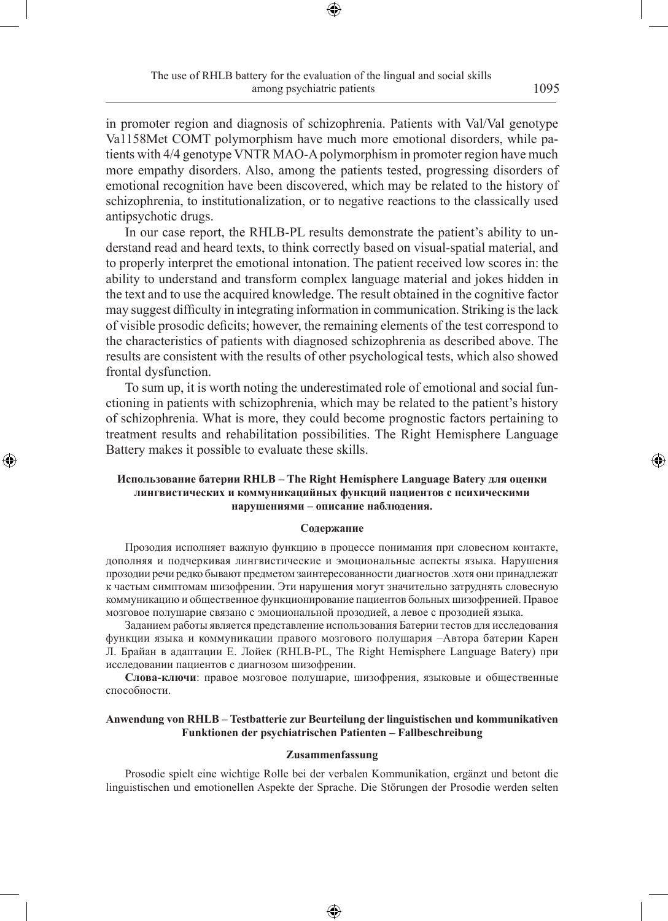in promoter region and diagnosis of schizophrenia. Patients with Val/Val genotype Va1158Met COMT polymorphism have much more emotional disorders, while patients with 4/4 genotype VNTR MAO-A polymorphism in promoter region have much more empathy disorders. Also, among the patients tested, progressing disorders of emotional recognition have been discovered, which may be related to the history of schizophrenia, to institutionalization, or to negative reactions to the classically used antipsychotic drugs.

In our case report, the RHLB-PL results demonstrate the patient's ability to understand read and heard texts, to think correctly based on visual-spatial material, and to properly interpret the emotional intonation. The patient received low scores in: the ability to understand and transform complex language material and jokes hidden in the text and to use the acquired knowledge. The result obtained in the cognitive factor may suggest difficulty in integrating information in communication. Striking is the lack of visible prosodic deficits; however, the remaining elements of the test correspond to the characteristics of patients with diagnosed schizophrenia as described above. The results are consistent with the results of other psychological tests, which also showed frontal dysfunction.

To sum up, it is worth noting the underestimated role of emotional and social functioning in patients with schizophrenia, which may be related to the patient's history of schizophrenia. What is more, they could become prognostic factors pertaining to treatment results and rehabilitation possibilities. The Right Hemisphere Language Battery makes it possible to evaluate these skills.

# **Использование батерии RHLB – The Right Hemisphere Language Batery для оценки лингвистических и коммуникацийных функций пациентов с психическими нарушениями – описание наблюдения.**

◈

## **Содержание**

Прозодия исполняет важную функцию в процессе понимания при словесном контакте, дополняя и подчеркивая лингвистические и эмоциональные аспекты языка. Нарушения прозодии речи редко бывают предметом заинтересованности диагностов .хотя они принадлежат к частым симптомам шизофрении. Эти нарушения могут значительно затруднять словесную коммуникацию и общественное функционирование пациентов больных шизофренией. Правое мозговое полушарие связано с эмоциональной прозодией, а левое с прозодией языка.

Заданием работы является представление использования Батерии тестов для исследования функции языка и коммуникации правого мозгового полушария –Автора батерии Карен Л. Брайан в адаптации Е. Лойек (RHLB-PL, The Right Hemisphere Language Batery) при исследовании пациентов с диагнозом шизофрении.

**Слова-ключи**: правое мозговое полушарие, шизофрения, языковые и общественные способности.

## **Anwendung von RHLB – Testbatterie zur Beurteilung der linguistischen und kommunikativen Funktionen der psychiatrischen Patienten – Fallbeschreibung**

#### **Zusammenfassung**

Prosodie spielt eine wichtige Rolle bei der verbalen Kommunikation, ergänzt und betont die linguistischen und emotionellen Aspekte der Sprache. Die Störungen der Prosodie werden selten

♠

1095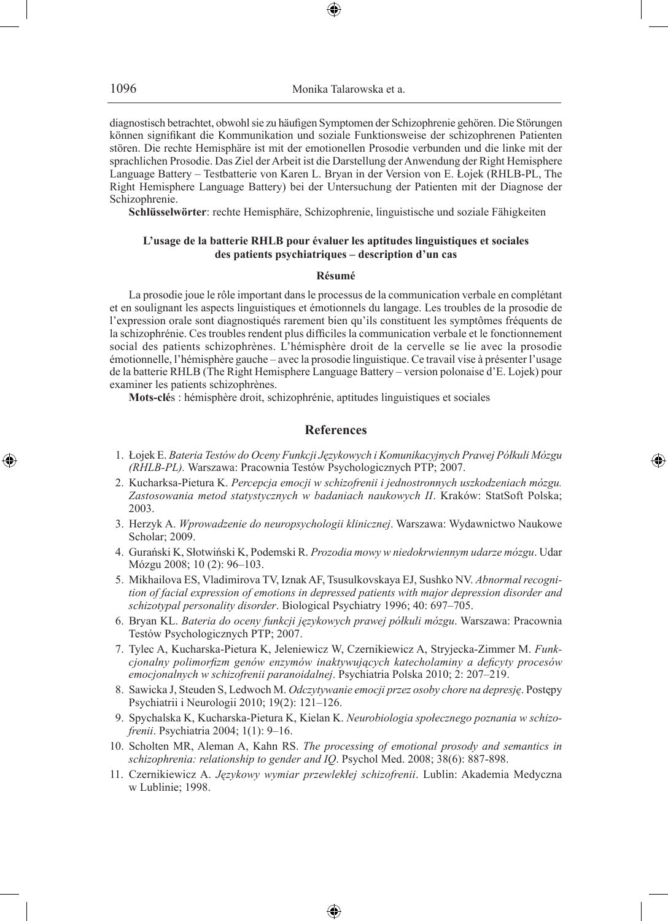diagnostisch betrachtet, obwohl sie zu häufigen Symptomen der Schizophrenie gehören. Die Störungen können signifikant die Kommunikation und soziale Funktionsweise der schizophrenen Patienten stören. Die rechte Hemisphäre ist mit der emotionellen Prosodie verbunden und die linke mit der sprachlichen Prosodie. Das Ziel der Arbeit ist die Darstellung der Anwendung der Right Hemisphere Language Battery – Testbatterie von Karen L. Bryan in der Version von E. Łojek (RHLB-PL, The Right Hemisphere Language Battery) bei der Untersuchung der Patienten mit der Diagnose der Schizophrenie.

**Schlüsselwörter**: rechte Hemisphäre, Schizophrenie, linguistische und soziale Fähigkeiten

## **L'usage de la batterie RHLB pour évaluer les aptitudes linguistiques et sociales des patients psychiatriques – description d'un cas**

## **Résumé**

La prosodie joue le rôle important dans le processus de la communication verbale en complétant et en soulignant les aspects linguistiques et émotionnels du langage. Les troubles de la prosodie de l'expression orale sont diagnostiqués rarement bien qu'ils constituent les symptômes fréquents de la schizophrénie. Ces troubles rendent plus difficiles la communication verbale et le fonctionnement social des patients schizophrènes. L'hémisphère droit de la cervelle se lie avec la prosodie émotionnelle, l'hémisphère gauche – avec la prosodie linguistique. Ce travail vise à présenter l'usage de la batterie RHLB (The Right Hemisphere Language Battery – version polonaise d'E. Lojek) pour examiner les patients schizophrènes.

**Mots-clé**s : hémisphère droit, schizophrénie, aptitudes linguistiques et sociales

# **References**

 1. Łojek E. *Bateria Testów do Oceny Funkcji Językowych i Komunikacyjnych Prawej Półkuli Mózgu (RHLB-PL).* Warszawa: Pracownia Testów Psychologicznych PTP; 2007.

◈

- 2. Kucharksa-Pietura K. *Percepcja emocji w schizofrenii i jednostronnych uszkodzeniach mózgu. Zastosowania metod statystycznych w badaniach naukowych II*. Kraków: StatSoft Polska; 2003.
- 3. Herzyk A. *Wprowadzenie do neuropsychologii klinicznej*. Warszawa: Wydawnictwo Naukowe Scholar; 2009.
- 4. Gurański K, Słotwiński K, Podemski R. *Prozodia mowy w niedokrwiennym udarze mózgu*. Udar Mózgu 2008; 10 (2): 96–103.
- 5. Mikhailova ES, Vladimirova TV, Iznak AF, Tsusulkovskaya EJ, Sushko NV. *Abnormal recognition of facial expression of emotions in depressed patients with major depression disorder and schizotypal personality disorder*. Biological Psychiatry 1996; 40: 697–705.
- 6. Bryan KL. *Bateria do oceny funkcji językowych prawej półkuli mózgu*. Warszawa: Pracownia Testów Psychologicznych PTP; 2007.
- 7. Tylec A, Kucharska-Pietura K, Jeleniewicz W, Czernikiewicz A, Stryjecka-Zimmer M. *Funkcjonalny polimorfizm genów enzymów inaktywujących katecholaminy a deficyty procesów emocjonalnych w schizofrenii paranoidalnej*. Psychiatria Polska 2010; 2: 207–219.
- 8. Sawicka J, Steuden S, Ledwoch M. *Odczytywanie emocji przez osoby chore na depresję*. Postępy Psychiatrii i Neurologii 2010; 19(2): 121–126.
- 9. Spychalska K, Kucharska-Pietura K, Kielan K. *Neurobiologia społecznego poznania w schizofrenii*. Psychiatria 2004; 1(1): 9–16.
- 10. Scholten MR, Aleman A, Kahn RS. *The processing of emotional prosody and semantics in schizophrenia: relationship to gender and IQ*. Psychol Med. 2008; 38(6): 887-898.
- 11. Czernikiewicz A. *Językowy wymiar przewlekłej schizofrenii*. Lublin: Akademia Medyczna w Lublinie; 1998.

♠